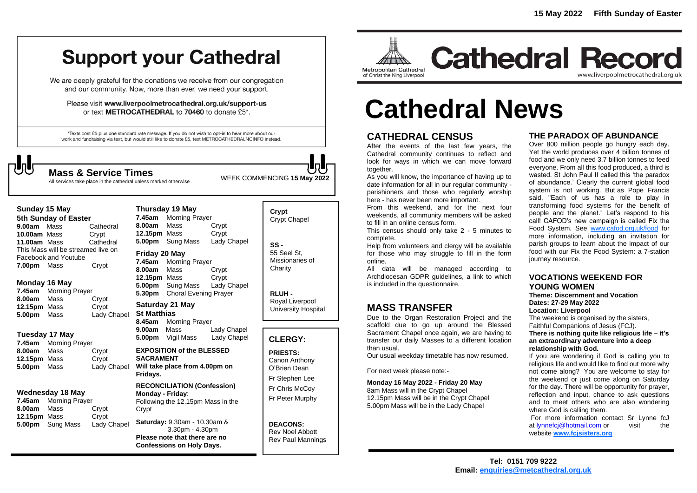## **Support your Cathedral**

We are deeply grateful for the donations we receive from our congregation and our community. Now, more than ever, we need your support.

Please visit www.liverpoolmetrocathedral.org.uk/support-us or text METROCATHEDRAL to 70460 to donate £5\*.

\*Texts cost £5 plus one standard rate message. If you do not wish to opt-in to hear more about our work and fundraising via text, but would still like to donate £5, text METROCATHEDRALNOINFO instead.

**Sunday 15 May 5th Sunday of Easter 9.00am** MassCathedral **10.00am** MassCrypt **11.00am** Mass Cathedral This Mass will be streamed live on

Facebook and Youtube **7.00pm** Mass Crypt

**Monday 16 May 7.45am** Morning Prayer **8.00am** Mass Crypt **12.15pm** Mass Crypt **5.00pm** Mass Lady Chapel

**Tuesday 17 May 7.45am** Morning Prayer **8.00am** Mass Crypt **12.15pm** Mass Crypt **5.00pm** Mass Lady Chapel

**Wednesday 18 May 7.45am** Morning Prayer **8.00am** Mass Crypt **12.15pm** Mass Crypt **5.00pm** Sung Mass Lady Chapel

WEEK COMMENCING **<sup>15</sup> May <sup>2022</sup> Mass & Service Times**

All services take place in the cathedral unless marked otherwise

#### **Thursday 19 May**

**7.45am** Morning Prayer **8.00am** Mass Crypt **12.15pm** Mass Crypt **5.00pm** Sung Mass Lady Chapel

#### **Friday 20 May**

**7.45am** Morning Prayer **8.00am** Mass Crypt **12.15pm** Mass Crypt **5.00pm** Sung Mass Lady Chapel **5.30pm** Choral Evening Prayer

#### **Saturday 21 May**

**St Matthias 8.45am** Morning Prayer **9.00am** Mass Lady Chapel **5.00pm** Vigil Mass Lady Chapel

**EXPOSITION of the BLESSED SACRAMENT**

**Will take place from 4.00pm on Fridays.**

#### **RECONCILIATION (Confession) Monday - Friday**:

Following the 12.15pm Mass in the Crypt

**Saturday:** 9.30am - 10.30am & 3.30pm - 4.30pm **Please note that there are no Confessions on Holy Days.**

**Crypt**  Crypt Chapel

**SS -** 55 Seel St, Missionaries of **Charity** 

**RLUH -** Royal Liverpool University Hospital

#### **CLERGY:**

**PRIESTS:**

Canon Anthony O'Brien *Dean*

Fr Stephen Lee Fr Chris McCoy

Fr Peter Murphy

**DEACONS:** Rev Noel Abbott Rev Paul Mannings



## **Cathedral Record** www.liverpoolmetrocathedral.org.uk

# **Cathedral News**

### **CATHEDRAL CENSUS**

After the events of the last few years, the Cathedral community continues to reflect and look for ways in which we can move forward together.

As you will know, the importance of having up to date information for all in our regular community parishioners and those who regularly worship here - has never been more important.

From this weekend, and for the next four weekends, all community members will be asked to fill in an online census form.

This census should only take 2 - 5 minutes to complete.

Help from volunteers and clergy will be available for those who may struggle to fill in the form online.

All data will be managed according to Archdiocesan GDPR guidelines, a link to which is included in the questionnaire.

#### **MASS TRANSFER**

Due to the Organ Restoration Project and the scaffold due to go up around the Blessed Sacrament Chapel once again, we are having to transfer our daily Masses to a different location than usual.

Our usual weekday timetable has now resumed.

For next week please note:-

**Monday 16 May 2022 - Friday 20 May** 8am Mass will in the Crypt Chapel 12.15pm Mass will be in the Crypt Chapel 5.00pm Mass will be in the Lady Chapel

#### **THE PARADOX OF ABUNDANCE**

Over 800 million people go hungry each day. Yet the world produces over 4 billion tonnes of food and we only need 3.7 billion tonnes to feed everyone. From all this food produced, a third is wasted. St John Paul II called this 'the paradox of abundance.' Clearly the current global food system is not working. But as Pope Francis said, "Each of us has a role to play in transforming food systems for the benefit of people and the planet." Let's respond to his call! CAFOD's new campaign is called Fix the Food System. See [www.cafod.org.uk/food](http://www.cafod.org.uk/food) for more information, including an invitation for parish groups to learn about the impact of our food with our *Fix the Food System: a 7-station journey* resource.

#### **VOCATIONS WEEKEND FOR YOUNG WOMEN**

**Theme: Discernment and Vocation Dates: 27-29 May 2022 Location: Liverpool**

The weekend is organised by the sisters, Faithful Companions of Jesus (FCJ).

**There is nothing quite like religious life – it's an extraordinary adventure into a deep relationship with God.**

If you are wondering if God is calling you to religious life and would like to find out more why not come along? You are welcome to stay for the weekend or just come along on Saturday for the day. There will be opportunity for prayer, reflection and input, chance to ask questions and to meet others who are also wondering where God is calling them.

For more information contact Sr Lynne fcJ at *lynnefci@hotmail.com* or visit the website **[www.fcjsisters.org](https://linkprotect.cudasvc.com/url?a=http%3a%2f%2fwww.fcjsisters.org%2f&c=E,1,JxFLiHK5p_7gr8mFxFuYtOr1riWi9RniGjCAXoNGtYgM1m6LBueqDbd8lqoWl5cOX4I7XM4NoPTXj12Jhzy-ZJuULoxzBaxDAub2g89TMF3F&typo=1)**